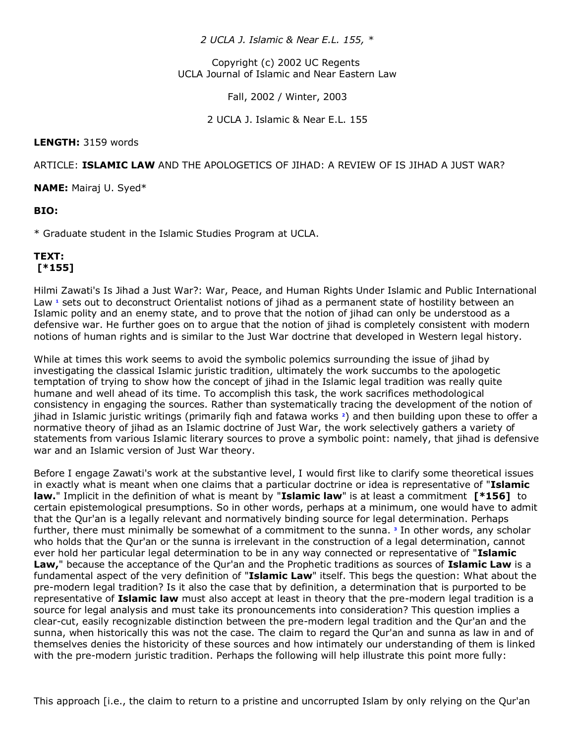## *2 UCLA J. Islamic & Near E.L. 155, \**

#### Copyright (c) 2002 UC Regents UCLA Journal of Islamic and Near Eastern Law

Fall, 2002 / Winter, 2003

2 UCLA J. Islamic & Near E.L. 155

**LENGTH:** 3159 words

## ARTICLE: **ISLAMIC LAW** AND THE APOLOGETICS OF JIHAD: A REVIEW OF IS JIHAD A JUST WAR?

**NAME:** Mairaj U. Syed\*

# **BIO:**

\* Graduate student in the Islamic Studies Program at UCLA.

# **TEXT: [\*155]**

Hilmi Zawati's Is Jihad a Just War?: War, Peace, and Human Rights Under Islamic and Public International Law<sup>1</sup> sets out to deconstruct Orientalist notions of jihad as a permanent state of hostility between an Islamic polity and an enemy state, and to prove that the notion of jihad can only be understood as a defensive war. He further goes on to argue that the notion of jihad is completely consistent with modern notions of human rights and is similar to the Just War doctrine that developed in Western legal history.

While at times this work seems to avoid the symbolic polemics surrounding the issue of jihad by investigating the classical Islamic juristic tradition, ultimately the work succumbs to the apologetic temptation of trying to show how the concept of jihad in the Islamic legal tradition was really quite humane and well ahead of its time. To accomplish this task, the work sacrifices methodological consistency in engaging the sources. Rather than systematically tracing the development of the notion of jihad in Islamic juristic writings (primarily fiqh and fatawa works **2**[\)](http://www.lexis.com/research/retrieve?_m=47973e549231c520dbe09e2cd0971a2c&docnum=21&_fmtstr=FULL&_startdoc=1&wchp=dGLbVzz-zSkAA&_md5=0f232df1e532c2bc94176067a855cfb4&focBudTerms=&focBudSel=all#n2#n2) and then building upon these to offer a normative theory of jihad as an Islamic doctrine of Just War, the work selectively gathers a variety of statements from various Islamic literary sources to prove a symbolic point: namely, that jihad is defensive war and an Islamic version of Just War theory.

Before I engage Zawati's work at the substantive level, I would first like to clarify some theoretical issues in exactly what is meant when one claims that a particular doctrine or idea is representative of "**Islamic law.**" Implicit in the definition of what is meant by "**Islamic law**" is at least a commitment **[\*156]** to certain epistemological presumptions. So in other words, perhaps at a minimum, one would have to admit that the Qur'an is a legally relevant and normatively binding source for legal determination. Perhaps further, there must minimally be somewhat of a commitment to the sunna.**<sup>3</sup>** In other words, any scholar who holds that the Qur'an or the sunna is irrelevant in the construction of a legal determination, cannot ever hold her particular legal determination to be in any way connected or representative of "**Islamic Law,**" because the acceptance of the Qur'an and the Prophetic traditions as sources of **Islamic Law** is a fundamental aspect of the very definition of "**Islamic Law**" itself. This begs the question: What about the pre-modern legal tradition? Is it also the case that by definition, a determination that is purported to be representative of **Islamic law** must also accept at least in theory that the pre-modern legal tradition is a source for legal analysis and must take its pronouncements into consideration? This question implies a clear-cut, easily recognizable distinction between the pre-modern legal tradition and the Qur'an and the sunna, when historically this was not the case. The claim to regard the Qur'an and sunna as law in and of themselves denies the historicity of these sources and how intimately our understanding of them is linked with the pre-modern juristic tradition. Perhaps the following will help illustrate this point more fully: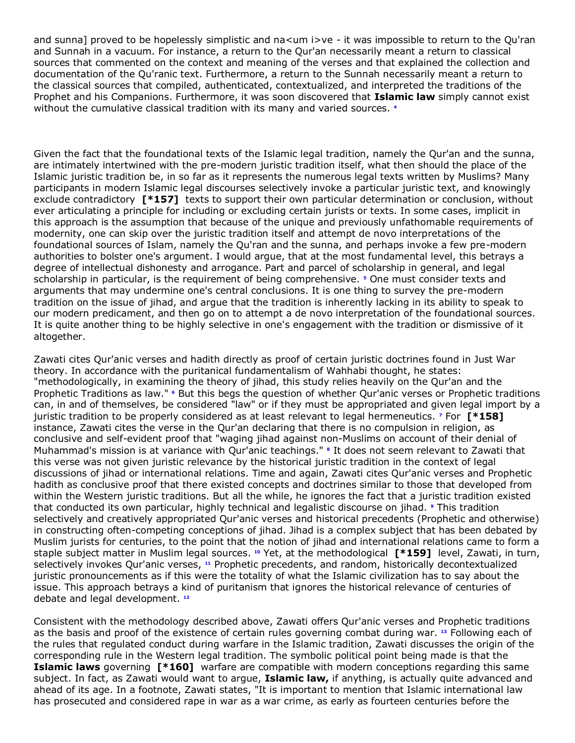and sunna] proved to be hopelessly simplistic and na<um i>ve - it was impossible to return to the Qu'ran and Sunnah in a vacuum. For instance, a return to the Qur'an necessarily meant a return to classical sources that commented on the context and meaning of the verses and that explained the collection and documentation of the Qu'ranic text. Furthermore, a return to the Sunnah necessarily meant a return to the classical sources that compiled, authenticated, contextualized, and interpreted the traditions of the Prophet and his Companions. Furthermore, it was soon discovered that **Islamic law** simply cannot exist without the cumulative classical tradition with its many and varied sources.**<sup>4</sup>**

Given the fact that the foundational texts of the Islamic legal tradition, namely the Qur'an and the sunna, are intimately intertwined with the pre-modern juristic tradition itself, what then should the place of the Islamic juristic tradition be, in so far as it represents the numerous legal texts written by Muslims? Many participants in modern Islamic legal discourses selectively invoke a particular juristic text, and knowingly exclude contradictory **[\*157]** texts to support their own particular determination or conclusion, without ever articulating a principle for including or excluding certain jurists or texts. In some cases, implicit in this approach is the assumption that because of the unique and previously unfathomable requirements of modernity, one can skip over the juristic tradition itself and attempt de novo interpretations of the foundational sources of Islam, namely the Qu'ran and the sunna, and perhaps invoke a few pre-modern authorities to bolster one's argument. I would argue, that at the most fundamental level, this betrays a degree of intellectual dishonesty and arrogance. Part and parcel of scholarship in general, and legal scholarship in particular, is the requirement of being comprehensive.**<sup>5</sup>** One must consider texts and arguments that may undermine one's central conclusions. It is one thing to survey the pre-modern tradition on the issue of jihad, and argue that the tradition is inherently lacking in its ability to speak to our modern predicament, and then go on to attempt a de novo interpretation of the foundational sources. It is quite another thing to be highly selective in one's engagement with the tradition or dismissive of it altogether.

Zawati cites Qur'anic verses and hadith directly as proof of certain juristic doctrines found in Just War theory. In accordance with the puritanical fundamentalism of Wahhabi thought, he states: "methodologically, in examining the theory of jihad, this study relies heavily on the Qur'an and the Prophetic Traditions as law."**<sup>6</sup>** But this begs the question of whether Qur'anic verses or Prophetic traditions can, in and of themselves, be considered "law" or if they must be appropriated and given legal import by a juristic tradition to be properly considered as at least relevant to legal hermeneutics.**<sup>7</sup>** For **[\*158]** instance, Zawati cites the verse in the Qur'an declaring that there is no compulsion in religion, as conclusive and self-evident proof that "waging jihad against non-Muslims on account of their denial of Muhammad's mission is at variance with Qur'anic teachings."**<sup>8</sup>** It does not seem relevant to Zawati that this verse was not given juristic relevance by the historical juristic tradition in the context of legal discussions of jihad or international relations. Time and again, Zawati cites Qur'anic verses and Prophetic hadith as conclusive proof that there existed concepts and doctrines similar to those that developed from within the Western juristic traditions. But all the while, he ignores the fact that a juristic tradition existed that conducted its own particular, highly technical and legalistic discourse on jihad.**<sup>9</sup>** This tradition selectively and creatively appropriated Qur'anic verses and historical precedents (Prophetic and otherwise) in constructing often-competing conceptions of jihad. Jihad is a complex subject that has been debated by Muslim jurists for centuries, to the point that the notion of jihad and international relations came to form a staple subject matter in Muslim legal sources.**<sup>10</sup>** Yet, at the methodological **[\*159]** level, Zawati, in turn, selectively invokes Qur'anic verses, **[11](http://www.lexis.com/research/retrieve?_m=47973e549231c520dbe09e2cd0971a2c&docnum=21&_fmtstr=FULL&_startdoc=1&wchp=dGLbVzz-zSkAA&_md5=0f232df1e532c2bc94176067a855cfb4&focBudTerms=&focBudSel=all#n11#n11)** Prophetic precedents, and random, historically decontextualized juristic pronouncements as if this were the totality of what the Islamic civilization has to say about the issue. This approach betrays a kind of puritanism that ignores the historical relevance of centuries of debate and legal development. **[12](http://www.lexis.com/research/retrieve?_m=47973e549231c520dbe09e2cd0971a2c&docnum=21&_fmtstr=FULL&_startdoc=1&wchp=dGLbVzz-zSkAA&_md5=0f232df1e532c2bc94176067a855cfb4&focBudTerms=&focBudSel=all#n12#n12)**

Consistent with the methodology described above, Zawati offers Qur'anic verses and Prophetic traditions as the basis and proof of the existence of certain rules governing combat during war. **[13](http://www.lexis.com/research/retrieve?_m=47973e549231c520dbe09e2cd0971a2c&docnum=21&_fmtstr=FULL&_startdoc=1&wchp=dGLbVzz-zSkAA&_md5=0f232df1e532c2bc94176067a855cfb4&focBudTerms=&focBudSel=all#n13#n13)** Following each of the rules that regulated conduct during warfare in the Islamic tradition, Zawati discusses the origin of the corresponding rule in the Western legal tradition. The symbolic political point being made is that the **Islamic laws** governing **[\*160]** warfare are compatible with modern conceptions regarding this same subject. In fact, as Zawati would want to argue, **Islamic law,** if anything, is actually quite advanced and ahead of its age. In a footnote, Zawati states, "It is important to mention that Islamic international law has prosecuted and considered rape in war as a war crime, as early as fourteen centuries before the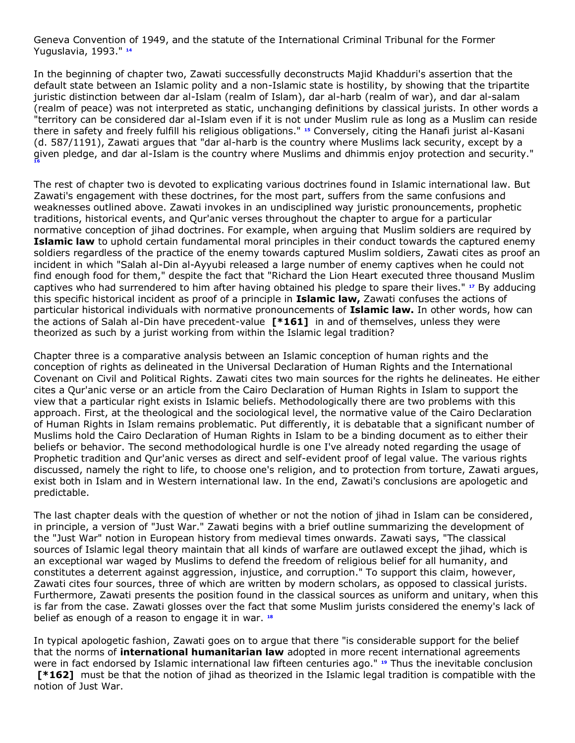Geneva Convention of 1949, and the statute of the International Criminal Tribunal for the Former Yuguslavia, 1993." **[14](http://www.lexis.com/research/retrieve?_m=47973e549231c520dbe09e2cd0971a2c&docnum=21&_fmtstr=FULL&_startdoc=1&wchp=dGLbVzz-zSkAA&_md5=0f232df1e532c2bc94176067a855cfb4&focBudTerms=&focBudSel=all#n14#n14)**

In the beginning of chapter two, Zawati successfully deconstructs Majid Khadduri's assertion that the default state between an Islamic polity and a non-Islamic state is hostility, by showing that the tripartite juristic distinction between dar al-Islam (realm of Islam), dar al-harb (realm of war), and dar al-salam (realm of peace) was not interpreted as static, unchanging definitions by classical jurists. In other words a "territory can be considered dar al-Islam even if it is not under Muslim rule as long as a Muslim can reside there in safety and freely fulfill his religious obligations." **[15](http://www.lexis.com/research/retrieve?_m=47973e549231c520dbe09e2cd0971a2c&docnum=21&_fmtstr=FULL&_startdoc=1&wchp=dGLbVzz-zSkAA&_md5=0f232df1e532c2bc94176067a855cfb4&focBudTerms=&focBudSel=all#n15#n15)** Conversely, citing the Hanafi jurist al-Kasani (d. 587/1191), Zawati argues that "dar al-harb is the country where Muslims lack security, except by a given pledge, and dar al-Islam is the country where Muslims and dhimmis enjoy protection and security." **[16](http://www.lexis.com/research/retrieve?_m=47973e549231c520dbe09e2cd0971a2c&docnum=21&_fmtstr=FULL&_startdoc=1&wchp=dGLbVzz-zSkAA&_md5=0f232df1e532c2bc94176067a855cfb4&focBudTerms=&focBudSel=all#n16#n16)**

The rest of chapter two is devoted to explicating various doctrines found in Islamic international law. But Zawati's engagement with these doctrines, for the most part, suffers from the same confusions and weaknesses outlined above. Zawati invokes in an undisciplined way juristic pronouncements, prophetic traditions, historical events, and Qur'anic verses throughout the chapter to argue for a particular normative conception of jihad doctrines. For example, when arguing that Muslim soldiers are required by **Islamic law** to uphold certain fundamental moral principles in their conduct towards the captured enemy soldiers regardless of the practice of the enemy towards captured Muslim soldiers, Zawati cites as proof an incident in which "Salah al-Din al-Ayyubi released a large number of enemy captives when he could not find enough food for them," despite the fact that "Richard the Lion Heart executed three thousand Muslim captives who had surrendered to him after having obtained his pledge to spare their lives." **[17](http://www.lexis.com/research/retrieve?_m=47973e549231c520dbe09e2cd0971a2c&docnum=21&_fmtstr=FULL&_startdoc=1&wchp=dGLbVzz-zSkAA&_md5=0f232df1e532c2bc94176067a855cfb4&focBudTerms=&focBudSel=all#n17#n17)** By adducing this specific historical incident as proof of a principle in **Islamic law,** Zawati confuses the actions of particular historical individuals with normative pronouncements of **Islamic law.** In other words, how can the actions of Salah al-Din have precedent-value **[\*161]** in and of themselves, unless they were theorized as such by a jurist working from within the Islamic legal tradition?

Chapter three is a comparative analysis between an Islamic conception of human rights and the conception of rights as delineated in the Universal Declaration of Human Rights and the International Covenant on Civil and Political Rights. Zawati cites two main sources for the rights he delineates. He either cites a Qur'anic verse or an article from the Cairo Declaration of Human Rights in Islam to support the view that a particular right exists in Islamic beliefs. Methodologically there are two problems with this approach. First, at the theological and the sociological level, the normative value of the Cairo Declaration of Human Rights in Islam remains problematic. Put differently, it is debatable that a significant number of Muslims hold the Cairo Declaration of Human Rights in Islam to be a binding document as to either their beliefs or behavior. The second methodological hurdle is one I've already noted regarding the usage of Prophetic tradition and Qur'anic verses as direct and self-evident proof of legal value. The various rights discussed, namely the right to life, to choose one's religion, and to protection from torture, Zawati argues, exist both in Islam and in Western international law. In the end, Zawati's conclusions are apologetic and predictable.

The last chapter deals with the question of whether or not the notion of jihad in Islam can be considered, in principle, a version of "Just War." Zawati begins with a brief outline summarizing the development of the "Just War" notion in European history from medieval times onwards. Zawati says, "The classical sources of Islamic legal theory maintain that all kinds of warfare are outlawed except the jihad, which is an exceptional war waged by Muslims to defend the freedom of religious belief for all humanity, and constitutes a deterrent against aggression, injustice, and corruption." To support this claim, however, Zawati cites four sources, three of which are written by modern scholars, as opposed to classical jurists. Furthermore, Zawati presents the position found in the classical sources as uniform and unitary, when this is far from the case. Zawati glosses over the fact that some Muslim jurists considered the enemy's lack of belief as enough of a reason to engage it in war. **[18](http://www.lexis.com/research/retrieve?_m=47973e549231c520dbe09e2cd0971a2c&docnum=21&_fmtstr=FULL&_startdoc=1&wchp=dGLbVzz-zSkAA&_md5=0f232df1e532c2bc94176067a855cfb4&focBudTerms=&focBudSel=all#n18#n18)**

In typical apologetic fashion, Zawati goes on to argue that there "is considerable support for the belief that the norms of **international humanitarian law** adopted in more recent international agreements were in fact endorsed by Islamic international law fifteen centuries ago." **[19](http://www.lexis.com/research/retrieve?_m=47973e549231c520dbe09e2cd0971a2c&docnum=21&_fmtstr=FULL&_startdoc=1&wchp=dGLbVzz-zSkAA&_md5=0f232df1e532c2bc94176067a855cfb4&focBudTerms=&focBudSel=all#n19#n19)** Thus the inevitable conclusion **[\*162]** must be that the notion of jihad as theorized in the Islamic legal tradition is compatible with the notion of Just War.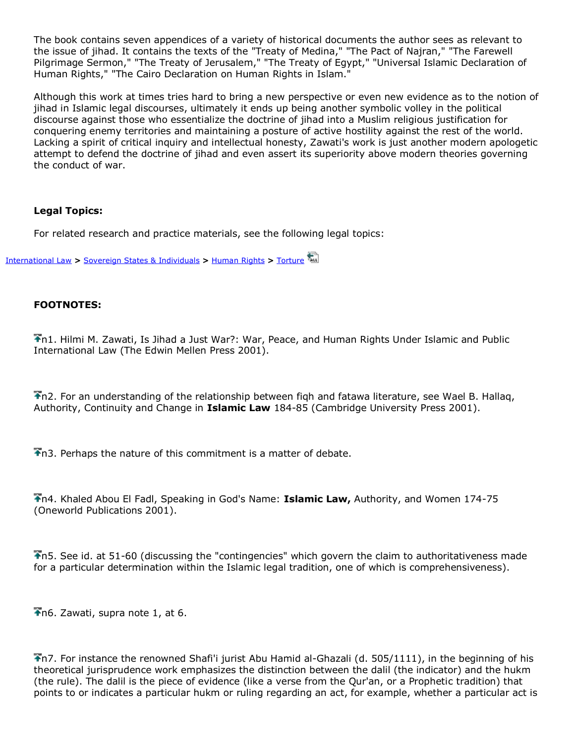The book contains seven appendices of a variety of historical documents the author sees as relevant to the issue of jihad. It contains the texts of the "Treaty of Medina," "The Pact of Najran," "The Farewell Pilgrimage Sermon," "The Treaty of Jerusalem," "The Treaty of Egypt," "Universal Islamic Declaration of Human Rights," "The Cairo Declaration on Human Rights in Islam."

Although this work at times tries hard to bring a new perspective or even new evidence as to the notion of jihad in Islamic legal discourses, ultimately it ends up being another symbolic volley in the political discourse against those who essentialize the doctrine of jihad into a Muslim religious justification for conquering enemy territories and maintaining a posture of active hostility against the rest of the world. Lacking a spirit of critical inquiry and intellectual honesty, Zawati's work is just another modern apologetic attempt to defend the doctrine of jihad and even assert its superiority above modern theories governing the conduct of war.

# **Legal Topics:**

For related research and practice materials, see the following legal topics:

[International Law](http://www.lexis.com/research/buttonLink?_m=72ca86a42bb5d8cf2f1fa1361bdb1e91&_xfercite=%3ccite%20cc%3d%22USA%22%3e%3c%21%5bCDATA%5b2%20UCLA%20J.%20Islamic%20%26%20Near%20E.L.%20155%5d%5d%3e%3c%2fcite%3e&_butType=1&_butStat=0&_butNum=21&_butInline=1&_butinfo=%3dWEBSSA%2000021836&_fmtstr=FULL&docnum=21&_startdoc=1&wchp=dGLbVzz-zSkAA&_md5=0ee09a04c6987c6e5ce3e7876192e512) **>** [Sovereign States & Individuals](http://w3.lexis.com/research2/lt/topics/tocdisplay.do?_m=5d0ec52e0f5bd3226b86e8cd3d0437c3&sub=00001656&satocOpen=00001656%2c00020434&_fmtstr=FULL&docnum=21&_startdoc=1&wchp=dGLbVzz-zSkAA&_md5=297e3af89ce070f5b41d20cc092df736) **>** [Human Rights](http://w3.lexis.com/research2/lt/topics/tocdisplay.do?_m=5d0ec52e0f5bd3226b86e8cd3d0437c3&sub=00001656&satocOpen=00001656%2c00020434%2c00021843&_fmtstr=FULL&docnum=21&_startdoc=1&wchp=dGLbVzz-zSkAA&_md5=297e3af89ce070f5b41d20cc092df736) **>** [Torture](http://w3.lexis.com/research2/lt/topics/tocdisplay.do?_m=5d0ec52e0f5bd3226b86e8cd3d0437c3&sub=00001656&satocOpen=00001656%2c00020434%2c00021843%2c00021843&_fmtstr=FULL&docnum=21&_startdoc=1&wchp=dGLbVzz-zSkAA&_md5=297e3af89ce070f5b41d20cc092df736)

## **FOOTNOTES:**

n1. Hilmi M. Zawati, Is Jihad a Just War?: War, Peace, and Human Rights Under Islamic and Public International Law (The Edwin Mellen Press 2001).

n2. For an understanding of the relationship between fiqh and fatawa literature, see Wael B. Hallaq, Authority, Continuity and Change in **Islamic Law** 184-85 (Cambridge University Press 2001).

n3. Perhaps the nature of this commitment is a matter of debate.

n4. Khaled Abou El Fadl, Speaking in God's Name: **Islamic Law,** Authority, and Women 174-75 (Oneworld Publications 2001).

n5. See id. at 51-60 (discussing the "contingencies" which govern the claim to authoritativeness made for a particular determination within the Islamic legal tradition, one of which is comprehensiveness).

 $\bigtriangledown$ n6. Zawati, supra note 1, at 6.

n7. For instance the renowned Shafi'i jurist Abu Hamid al-Ghazali (d. 505/1111), in the beginning of his theoretical jurisprudence work emphasizes the distinction between the dalil (the indicator) and the hukm (the rule). The dalil is the piece of evidence (like a verse from the Qur'an, or a Prophetic tradition) that points to or indicates a particular hukm or ruling regarding an act, for example, whether a particular act is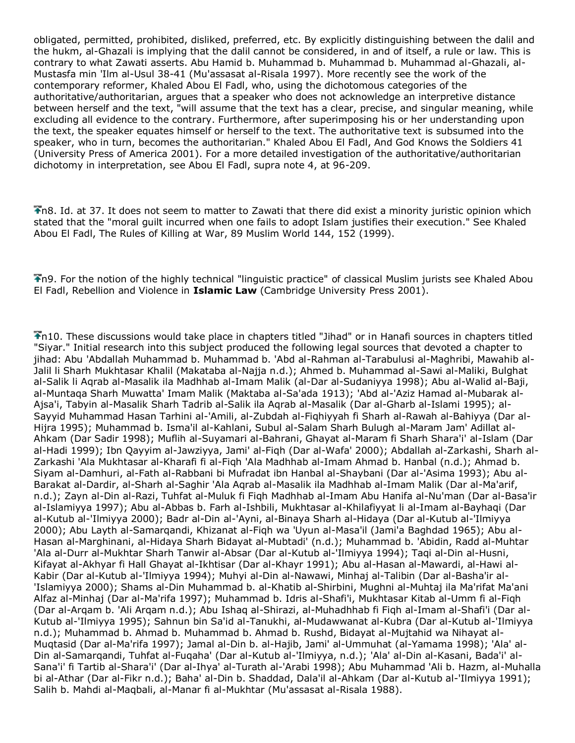obligated, permitted, prohibited, disliked, preferred, etc. By explicitly distinguishing between the dalil and the hukm, al-Ghazali is implying that the dalil cannot be considered, in and of itself, a rule or law. This is contrary to what Zawati asserts. Abu Hamid b. Muhammad b. Muhammad b. Muhammad al-Ghazali, al-Mustasfa min 'Ilm al-Usul 38-41 (Mu'assasat al-Risala 1997). More recently see the work of the contemporary reformer, Khaled Abou El Fadl, who, using the dichotomous categories of the authoritative/authoritarian, argues that a speaker who does not acknowledge an interpretive distance between herself and the text, "will assume that the text has a clear, precise, and singular meaning, while excluding all evidence to the contrary. Furthermore, after superimposing his or her understanding upon the text, the speaker equates himself or herself to the text. The authoritative text is subsumed into the speaker, who in turn, becomes the authoritarian." Khaled Abou El Fadl, And God Knows the Soldiers 41 (University Press of America 2001). For a more detailed investigation of the authoritative/authoritarian dichotomy in interpretation, see Abou El Fadl, supra note 4, at 96-209.

n8. Id. at 37. It does not seem to matter to Zawati that there did exist a minority juristic opinion which stated that the "moral guilt incurred when one fails to adopt Islam justifies their execution." See Khaled Abou El Fadl, The Rules of Killing at War, 89 Muslim World 144, 152 (1999).

n9. For the notion of the highly technical "linguistic practice" of classical Muslim jurists see Khaled Abou El Fadl, Rebellion and Violence in **Islamic Law** (Cambridge University Press 2001).

 $\bigtriangledown$ n10. These discussions would take place in chapters titled "Jihad" or in Hanafi sources in chapters titled "Siyar." Initial research into this subject produced the following legal sources that devoted a chapter to jihad: Abu 'Abdallah Muhammad b. Muhammad b. 'Abd al-Rahman al-Tarabulusi al-Maghribi, Mawahib al-Jalil li Sharh Mukhtasar Khalil (Makataba al-Najja n.d.); Ahmed b. Muhammad al-Sawi al-Maliki, Bulghat al-Salik li Aqrab al-Masalik ila Madhhab al-Imam Malik (al-Dar al-Sudaniyya 1998); Abu al-Walid al-Baji, al-Muntaqa Sharh Muwatta' Imam Malik (Maktaba al-Sa'ada 1913); 'Abd al-'Aziz Hamad al-Mubarak al-Ajsa'i, Tabyin al-Masalik Sharh Tadrib al-Salik ila Aqrab al-Masalik (Dar al-Gharb al-Islami 1995); al-Sayyid Muhammad Hasan Tarhini al-'Amili, al-Zubdah al-Fiqhiyyah fi Sharh al-Rawah al-Bahiyya (Dar al-Hijra 1995); Muhammad b. Isma'il al-Kahlani, Subul al-Salam Sharh Bulugh al-Maram Jam' Adillat al-Ahkam (Dar Sadir 1998); Muflih al-Suyamari al-Bahrani, Ghayat al-Maram fi Sharh Shara'i' al-Islam (Dar al-Hadi 1999); Ibn Qayyim al-Jawziyya, Jami' al-Fiqh (Dar al-Wafa' 2000); Abdallah al-Zarkashi, Sharh al-Zarkashi 'Ala Mukhtasar al-Kharafi fi al-Fiqh 'Ala Madhhab al-Imam Ahmad b. Hanbal (n.d.); Ahmad b. Siyam al-Damhuri, al-Fath al-Rabbani bi Mufradat ibn Hanbal al-Shaybani (Dar al-'Asima 1993); Abu al-Barakat al-Dardir, al-Sharh al-Saghir 'Ala Aqrab al-Masalik ila Madhhab al-Imam Malik (Dar al-Ma'arif, n.d.); Zayn al-Din al-Razi, Tuhfat al-Muluk fi Fiqh Madhhab al-Imam Abu Hanifa al-Nu'man (Dar al-Basa'ir al-Islamiyya 1997); Abu al-Abbas b. Farh al-Ishbili, Mukhtasar al-Khilafiyyat li al-Imam al-Bayhaqi (Dar al-Kutub al-'Ilmiyya 2000); Badr al-Din al-'Ayni, al-Binaya Sharh al-Hidaya (Dar al-Kutub al-'Ilmiyya 2000); Abu Layth al-Samarqandi, Khizanat al-Fiqh wa 'Uyun al-Masa'il (Jami'a Baghdad 1965); Abu al-Hasan al-Marghinani, al-Hidaya Sharh Bidayat al-Mubtadi' (n.d.); Muhammad b. 'Abidin, Radd al-Muhtar 'Ala al-Durr al-Mukhtar Sharh Tanwir al-Absar (Dar al-Kutub al-'Ilmiyya 1994); Taqi al-Din al-Husni, Kifayat al-Akhyar fi Hall Ghayat al-Ikhtisar (Dar al-Khayr 1991); Abu al-Hasan al-Mawardi, al-Hawi al-Kabir (Dar al-Kutub al-'Ilmiyya 1994); Muhyi al-Din al-Nawawi, Minhaj al-Talibin (Dar al-Basha'ir al- 'Islamiyya 2000); Shams al-Din Muhammad b. al-Khatib al-Shirbini, Mughni al-Muhtaj ila Ma'rifat Ma'ani Alfaz al-Minhaj (Dar al-Ma'rifa 1997); Muhammad b. Idris al-Shafi'i, Mukhtasar Kitab al-Umm fi al-Fiqh (Dar al-Arqam b. 'Ali Arqam n.d.); Abu Ishaq al-Shirazi, al-Muhadhhab fi Fiqh al-Imam al-Shafi'i (Dar al-Kutub al-'Ilmiyya 1995); Sahnun bin Sa'id al-Tanukhi, al-Mudawwanat al-Kubra (Dar al-Kutub al-'Ilmiyya n.d.); Muhammad b. Ahmad b. Muhammad b. Ahmad b. Rushd, Bidayat al-Mujtahid wa Nihayat al-Muqtasid (Dar al-Ma'rifa 1997); Jamal al-Din b. al-Hajib, Jami' al-Ummuhat (al-Yamama 1998); 'Ala' al-Din al-Samarqandi, Tuhfat al-Fuqaha' (Dar al-Kutub al-'Ilmiyya, n.d.); 'Ala' al-Din al-Kasani, Bada'i' al-Sana'i' fi Tartib al-Shara'i' (Dar al-Ihya' al-Turath al-'Arabi 1998); Abu Muhammad 'Ali b. Hazm, al-Muhalla bi al-Athar (Dar al-Fikr n.d.); Baha' al-Din b. Shaddad, Dala'il al-Ahkam (Dar al-Kutub al-'Ilmiyya 1991); Salih b. Mahdi al-Maqbali, al-Manar fi al-Mukhtar (Mu'assasat al-Risala 1988).